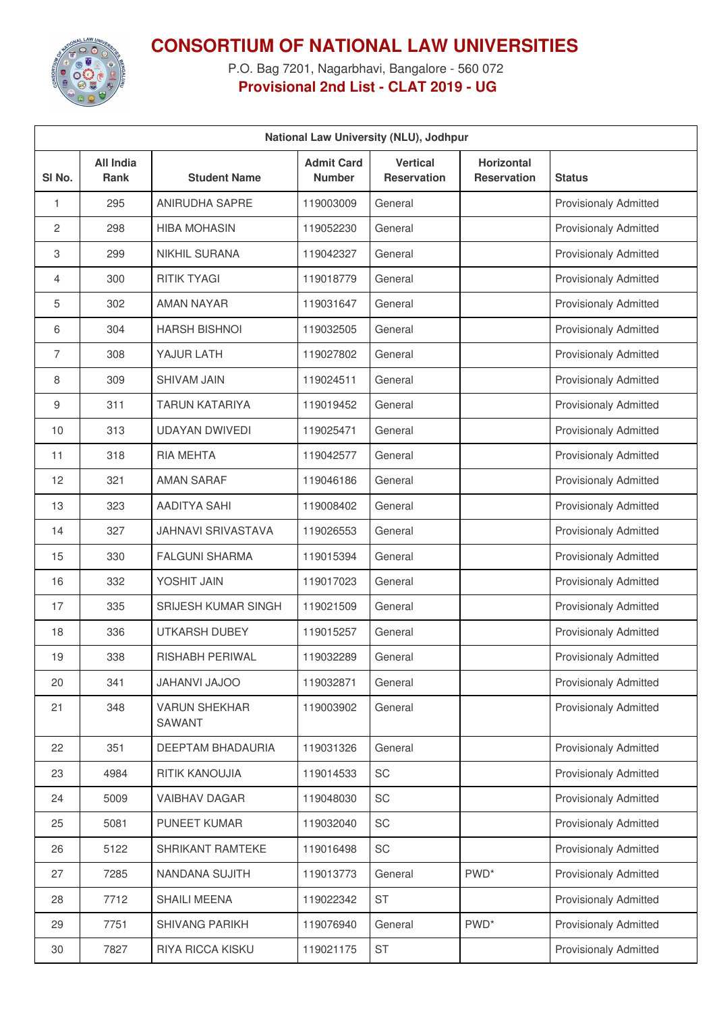

**CONSORTIUM OF NATIONAL LAW UNIVERSITIES**

P.O. Bag 7201, Nagarbhavi, Bangalore - 560 072 **Provisional 2nd List - CLAT 2019 - UG**

| National Law University (NLU), Jodhpur |                                 |                                |                                    |                                       |                                         |                              |  |  |
|----------------------------------------|---------------------------------|--------------------------------|------------------------------------|---------------------------------------|-----------------------------------------|------------------------------|--|--|
| SI No.                                 | <b>All India</b><br><b>Rank</b> | <b>Student Name</b>            | <b>Admit Card</b><br><b>Number</b> | <b>Vertical</b><br><b>Reservation</b> | <b>Horizontal</b><br><b>Reservation</b> | <b>Status</b>                |  |  |
| 1                                      | 295                             | ANIRUDHA SAPRE                 | 119003009                          | General                               |                                         | <b>Provisionaly Admitted</b> |  |  |
| 2                                      | 298                             | <b>HIBA MOHASIN</b>            | 119052230                          | General                               |                                         | <b>Provisionaly Admitted</b> |  |  |
| 3                                      | 299                             | <b>NIKHIL SURANA</b>           | 119042327                          | General                               |                                         | <b>Provisionaly Admitted</b> |  |  |
| $\overline{4}$                         | 300                             | <b>RITIK TYAGI</b>             | 119018779                          | General                               |                                         | <b>Provisionaly Admitted</b> |  |  |
| 5                                      | 302                             | <b>AMAN NAYAR</b>              | 119031647                          | General                               |                                         | <b>Provisionaly Admitted</b> |  |  |
| 6                                      | 304                             | <b>HARSH BISHNOI</b>           | 119032505                          | General                               |                                         | <b>Provisionaly Admitted</b> |  |  |
| $\overline{7}$                         | 308                             | YAJUR LATH                     | 119027802                          | General                               |                                         | <b>Provisionaly Admitted</b> |  |  |
| 8                                      | 309                             | <b>SHIVAM JAIN</b>             | 119024511                          | General                               |                                         | <b>Provisionaly Admitted</b> |  |  |
| 9                                      | 311                             | <b>TARUN KATARIYA</b>          | 119019452                          | General                               |                                         | <b>Provisionaly Admitted</b> |  |  |
| 10                                     | 313                             | <b>UDAYAN DWIVEDI</b>          | 119025471                          | General                               |                                         | <b>Provisionaly Admitted</b> |  |  |
| 11                                     | 318                             | RIA MEHTA                      | 119042577                          | General                               |                                         | <b>Provisionaly Admitted</b> |  |  |
| 12                                     | 321                             | <b>AMAN SARAF</b>              | 119046186                          | General                               |                                         | <b>Provisionaly Admitted</b> |  |  |
| 13                                     | 323                             | AADITYA SAHI                   | 119008402                          | General                               |                                         | <b>Provisionaly Admitted</b> |  |  |
| 14                                     | 327                             | <b>JAHNAVI SRIVASTAVA</b>      | 119026553                          | General                               |                                         | <b>Provisionaly Admitted</b> |  |  |
| 15                                     | 330                             | <b>FALGUNI SHARMA</b>          | 119015394                          | General                               |                                         | <b>Provisionaly Admitted</b> |  |  |
| 16                                     | 332                             | YOSHIT JAIN                    | 119017023                          | General                               |                                         | <b>Provisionaly Admitted</b> |  |  |
| 17                                     | 335                             | <b>SRIJESH KUMAR SINGH</b>     | 119021509                          | General                               |                                         | <b>Provisionaly Admitted</b> |  |  |
| 18                                     | 336                             | <b>UTKARSH DUBEY</b>           | 119015257                          | General                               |                                         | <b>Provisionaly Admitted</b> |  |  |
| 19                                     | 338                             | <b>RISHABH PERIWAL</b>         | 119032289                          | General                               |                                         | <b>Provisionaly Admitted</b> |  |  |
| 20                                     | 341                             | <b>OOLAU IVAHAU</b>            | 119032871                          | General                               |                                         | <b>Provisionaly Admitted</b> |  |  |
| 21                                     | 348                             | <b>VARUN SHEKHAR</b><br>SAWANT | 119003902                          | General                               |                                         | <b>Provisionaly Admitted</b> |  |  |
| 22                                     | 351                             | DEEPTAM BHADAURIA              | 119031326                          | General                               |                                         | <b>Provisionaly Admitted</b> |  |  |
| 23                                     | 4984                            | RITIK KANOUJIA                 | 119014533                          | SC                                    |                                         | <b>Provisionaly Admitted</b> |  |  |
| 24                                     | 5009                            | <b>VAIBHAV DAGAR</b>           | 119048030                          | SC                                    |                                         | Provisionaly Admitted        |  |  |
| 25                                     | 5081                            | <b>PUNEET KUMAR</b>            | 119032040                          | SC                                    |                                         | <b>Provisionaly Admitted</b> |  |  |
| 26                                     | 5122                            | SHRIKANT RAMTEKE               | 119016498                          | SC                                    |                                         | <b>Provisionaly Admitted</b> |  |  |
| 27                                     | 7285                            | NANDANA SUJITH                 | 119013773                          | General                               | PWD <sup>*</sup>                        | <b>Provisionaly Admitted</b> |  |  |
| 28                                     | 7712                            | <b>SHAILI MEENA</b>            | 119022342                          | <b>ST</b>                             |                                         | Provisionaly Admitted        |  |  |
| 29                                     | 7751                            | SHIVANG PARIKH                 | 119076940                          | General                               | PWD <sup>*</sup>                        | <b>Provisionaly Admitted</b> |  |  |
| 30                                     | 7827                            | RIYA RICCA KISKU               | 119021175                          | ST                                    |                                         | <b>Provisionaly Admitted</b> |  |  |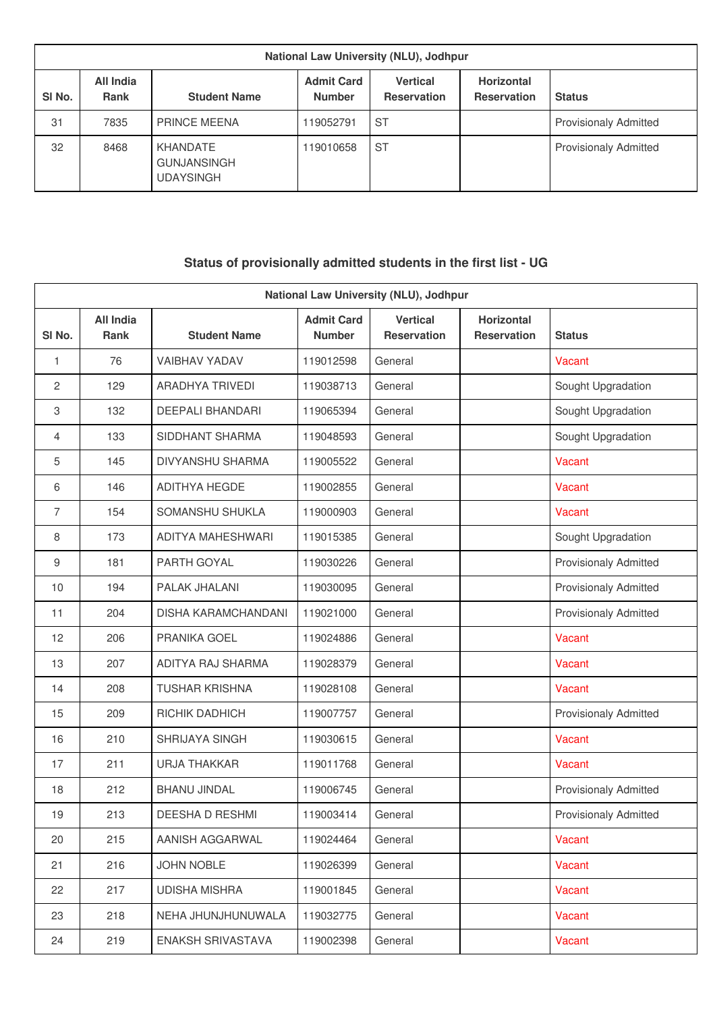| National Law University (NLU), Jodhpur |                          |                                                    |                                    |                                |                                         |                              |  |  |
|----------------------------------------|--------------------------|----------------------------------------------------|------------------------------------|--------------------------------|-----------------------------------------|------------------------------|--|--|
| SI <sub>No.</sub>                      | All India<br><b>Rank</b> | <b>Student Name</b>                                | <b>Admit Card</b><br><b>Number</b> | Vertical<br><b>Reservation</b> | <b>Horizontal</b><br><b>Reservation</b> | <b>Status</b>                |  |  |
| 31                                     | 7835                     | PRINCE MEENA                                       | 19052791                           | <b>ST</b>                      |                                         | <b>Provisionaly Admitted</b> |  |  |
| 32                                     | 8468                     | KHANDATE<br><b>GUNJANSINGH</b><br><b>UDAYSINGH</b> | 119010658                          | <b>ST</b>                      |                                         | <b>Provisionaly Admitted</b> |  |  |

## **Status of provisionally admitted students in the first list - UG**

|                | National Law University (NLU), Jodhpur |                            |                                    |                                       |                                  |                              |  |  |
|----------------|----------------------------------------|----------------------------|------------------------------------|---------------------------------------|----------------------------------|------------------------------|--|--|
| SI No.         | <b>All India</b><br>Rank               | <b>Student Name</b>        | <b>Admit Card</b><br><b>Number</b> | <b>Vertical</b><br><b>Reservation</b> | Horizontal<br><b>Reservation</b> | <b>Status</b>                |  |  |
| 1              | 76                                     | <b>VAIBHAV YADAV</b>       | 119012598                          | General                               |                                  | Vacant                       |  |  |
| $\overline{c}$ | 129                                    | ARADHYA TRIVEDI            | 119038713                          | General                               |                                  | Sought Upgradation           |  |  |
| 3              | 132                                    | <b>DEEPALI BHANDARI</b>    | 119065394                          | General                               |                                  | Sought Upgradation           |  |  |
| 4              | 133                                    | SIDDHANT SHARMA            | 119048593                          | General                               |                                  | Sought Upgradation           |  |  |
| 5              | 145                                    | DIVYANSHU SHARMA           | 119005522                          | General                               |                                  | Vacant                       |  |  |
| 6              | 146                                    | <b>ADITHYA HEGDE</b>       | 119002855                          | General                               |                                  | Vacant                       |  |  |
| 7              | 154                                    | SOMANSHU SHUKLA            | 119000903                          | General                               |                                  | Vacant                       |  |  |
| 8              | 173                                    | ADITYA MAHESHWARI          | 119015385                          | General                               |                                  | Sought Upgradation           |  |  |
| 9              | 181                                    | PARTH GOYAL                | 119030226                          | General                               |                                  | <b>Provisionaly Admitted</b> |  |  |
| 10             | 194                                    | PALAK JHALANI              | 119030095                          | General                               |                                  | <b>Provisionaly Admitted</b> |  |  |
| 11             | 204                                    | <b>DISHA KARAMCHANDANI</b> | 119021000                          | General                               |                                  | <b>Provisionaly Admitted</b> |  |  |
| 12             | 206                                    | PRANIKA GOEL               | 119024886                          | General                               |                                  | Vacant                       |  |  |
| 13             | 207                                    | ADITYA RAJ SHARMA          | 119028379                          | General                               |                                  | Vacant                       |  |  |
| 14             | 208                                    | <b>TUSHAR KRISHNA</b>      | 119028108                          | General                               |                                  | Vacant                       |  |  |
| 15             | 209                                    | RICHIK DADHICH             | 119007757                          | General                               |                                  | <b>Provisionaly Admitted</b> |  |  |
| 16             | 210                                    | SHRIJAYA SINGH             | 119030615                          | General                               |                                  | Vacant                       |  |  |
| 17             | 211                                    | <b>URJA THAKKAR</b>        | 119011768                          | General                               |                                  | Vacant                       |  |  |
| 18             | 212                                    | <b>BHANU JINDAL</b>        | 119006745                          | General                               |                                  | <b>Provisionaly Admitted</b> |  |  |
| 19             | 213                                    | DEESHA D RESHMI            | 119003414                          | General                               |                                  | <b>Provisionaly Admitted</b> |  |  |
| 20             | 215                                    | AANISH AGGARWAL            | 119024464                          | General                               |                                  | Vacant                       |  |  |
| 21             | 216                                    | <b>JOHN NOBLE</b>          | 119026399                          | General                               |                                  | Vacant                       |  |  |
| 22             | 217                                    | <b>UDISHA MISHRA</b>       | 119001845                          | General                               |                                  | Vacant                       |  |  |
| 23             | 218                                    | NEHA JHUNJHUNUWALA         | 119032775                          | General                               |                                  | Vacant                       |  |  |
| 24             | 219                                    | ENAKSH SRIVASTAVA          | 119002398                          | General                               |                                  | Vacant                       |  |  |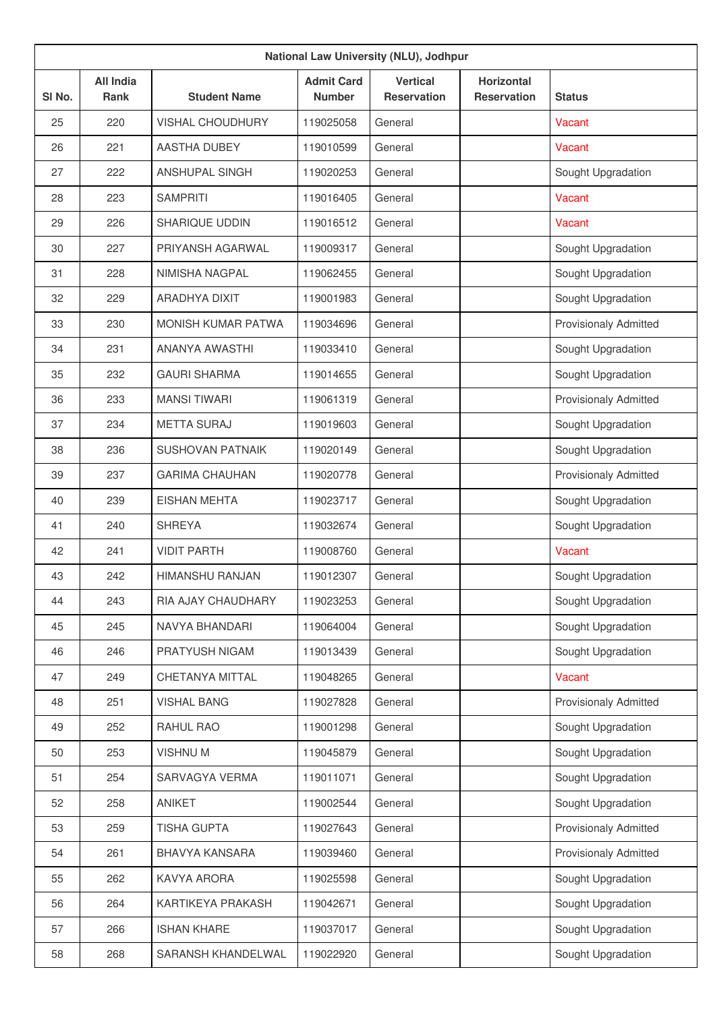| National Law University (NLU), Jodhpur |                                 |                         |                                    |                                       |                                         |                              |  |
|----------------------------------------|---------------------------------|-------------------------|------------------------------------|---------------------------------------|-----------------------------------------|------------------------------|--|
| SI No.                                 | <b>All India</b><br><b>Rank</b> | <b>Student Name</b>     | <b>Admit Card</b><br><b>Number</b> | <b>Vertical</b><br><b>Reservation</b> | <b>Horizontal</b><br><b>Reservation</b> | <b>Status</b>                |  |
| 25                                     | 220                             | <b>VISHAL CHOUDHURY</b> | 119025058                          | General                               |                                         | Vacant                       |  |
| 26                                     | 221                             | AASTHA DUBEY            | 119010599                          | General                               |                                         | Vacant                       |  |
| 27                                     | 222                             | <b>ANSHUPAL SINGH</b>   | 119020253                          | General                               |                                         | Sought Upgradation           |  |
| 28                                     | 223                             | <b>SAMPRITI</b>         | 119016405                          | General                               |                                         | Vacant                       |  |
| 29                                     | 226                             | SHARIQUE UDDIN          | 119016512                          | General                               |                                         | Vacant                       |  |
| 30                                     | 227                             | PRIYANSH AGARWAL        | 119009317                          | General                               |                                         | Sought Upgradation           |  |
| 31                                     | 228                             | NIMISHA NAGPAL          | 119062455                          | General                               |                                         | Sought Upgradation           |  |
| 32                                     | 229                             | ARADHYA DIXIT           | 119001983                          | General                               |                                         | Sought Upgradation           |  |
| 33                                     | 230                             | MONISH KUMAR PATWA      | 119034696                          | General                               |                                         | <b>Provisionaly Admitted</b> |  |
| 34                                     | 231                             | ANANYA AWASTHI          | 119033410                          | General                               |                                         | Sought Upgradation           |  |
| 35                                     | 232                             | <b>GAURI SHARMA</b>     | 119014655                          | General                               |                                         | Sought Upgradation           |  |
| 36                                     | 233                             | <b>MANSI TIWARI</b>     | 119061319                          | General                               |                                         | <b>Provisionaly Admitted</b> |  |
| 37                                     | 234                             | <b>METTA SURAJ</b>      | 119019603                          | General                               |                                         | Sought Upgradation           |  |
| 38                                     | 236                             | <b>SUSHOVAN PATNAIK</b> | 119020149                          | General                               |                                         | Sought Upgradation           |  |
| 39                                     | 237                             | <b>GARIMA CHAUHAN</b>   | 119020778                          | General                               |                                         | <b>Provisionaly Admitted</b> |  |
| 40                                     | 239                             | <b>EISHAN MEHTA</b>     | 119023717                          | General                               |                                         | Sought Upgradation           |  |
| 41                                     | 240                             | <b>SHREYA</b>           | 119032674                          | General                               |                                         | Sought Upgradation           |  |
| 42                                     | 241                             | <b>VIDIT PARTH</b>      | 119008760                          | General                               |                                         | Vacant                       |  |
| 43                                     | 242                             | <b>HIMANSHU RANJAN</b>  | 119012307                          | General                               |                                         | Sought Upgradation           |  |
| 44                                     | 243                             | RIA AJAY CHAUDHARY      | 119023253                          | General                               |                                         | Sought Upgradation           |  |
| 45                                     | 245                             | NAVYA BHANDARI          | 119064004                          | General                               |                                         | Sought Upgradation           |  |
| 46                                     | 246                             | PRATYUSH NIGAM          | 119013439                          | General                               |                                         | Sought Upgradation           |  |
| 47                                     | 249                             | CHETANYA MITTAL         | 119048265                          | General                               |                                         | Vacant                       |  |
| 48                                     | 251                             | <b>VISHAL BANG</b>      | 119027828                          | General                               |                                         | <b>Provisionaly Admitted</b> |  |
| 49                                     | 252                             | RAHUL RAO               | 119001298                          | General                               |                                         | Sought Upgradation           |  |
| 50                                     | 253                             | <b>VISHNUM</b>          | 119045879                          | General                               |                                         | Sought Upgradation           |  |
| 51                                     | 254                             | SARVAGYA VERMA          | 119011071                          | General                               |                                         | Sought Upgradation           |  |
| 52                                     | 258                             | ANIKET                  | 119002544                          | General                               |                                         | Sought Upgradation           |  |
| 53                                     | 259                             | <b>TISHA GUPTA</b>      | 119027643                          | General                               |                                         | <b>Provisionaly Admitted</b> |  |
| 54                                     | 261                             | <b>BHAVYA KANSARA</b>   | 119039460                          | General                               |                                         | <b>Provisionaly Admitted</b> |  |
| 55                                     | 262                             | KAVYA ARORA             | 119025598                          | General                               |                                         | Sought Upgradation           |  |
| 56                                     | 264                             | KARTIKEYA PRAKASH       | 119042671                          | General                               |                                         | Sought Upgradation           |  |
| 57                                     | 266                             | <b>ISHAN KHARE</b>      | 119037017                          | General                               |                                         | Sought Upgradation           |  |
| 58                                     | 268                             | SARANSH KHANDELWAL      | 119022920                          | General                               |                                         | Sought Upgradation           |  |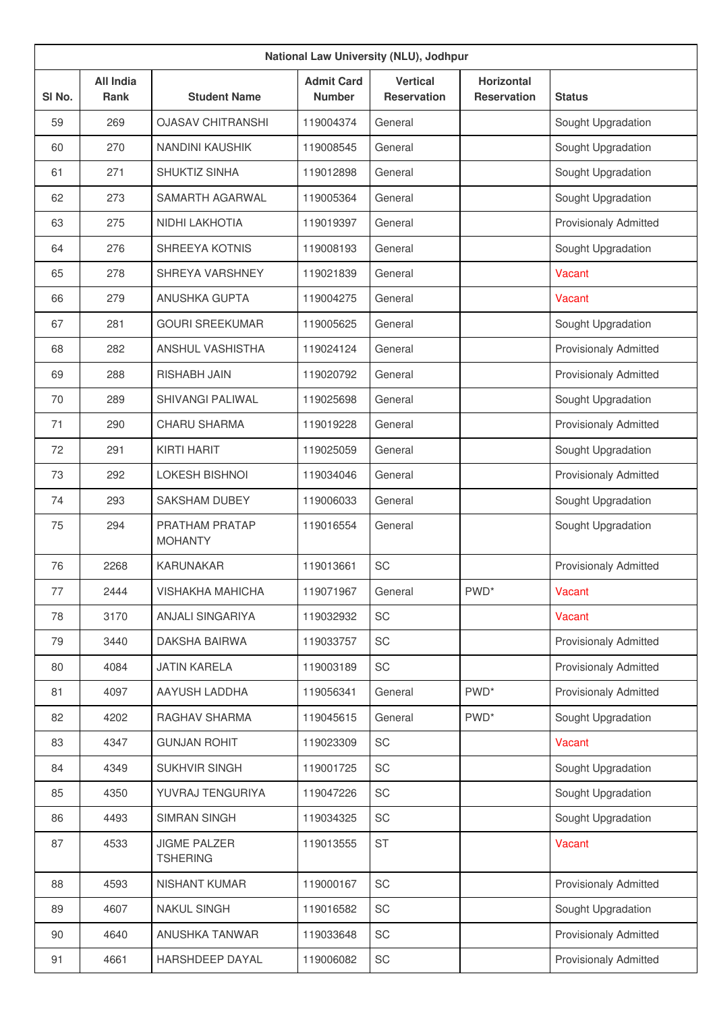| National Law University (NLU), Jodhpur |                          |                                        |                                    |                                       |                                  |                              |  |
|----------------------------------------|--------------------------|----------------------------------------|------------------------------------|---------------------------------------|----------------------------------|------------------------------|--|
| SI <sub>No.</sub>                      | <b>All India</b><br>Rank | <b>Student Name</b>                    | <b>Admit Card</b><br><b>Number</b> | <b>Vertical</b><br><b>Reservation</b> | Horizontal<br><b>Reservation</b> | <b>Status</b>                |  |
| 59                                     | 269                      | <b>OJASAV CHITRANSHI</b>               | 119004374                          | General                               |                                  | Sought Upgradation           |  |
| 60                                     | 270                      | <b>NANDINI KAUSHIK</b>                 | 119008545                          | General                               |                                  | Sought Upgradation           |  |
| 61                                     | 271                      | SHUKTIZ SINHA                          | 119012898                          | General                               |                                  | Sought Upgradation           |  |
| 62                                     | 273                      | SAMARTH AGARWAL                        | 119005364                          | General                               |                                  | Sought Upgradation           |  |
| 63                                     | 275                      | <b>NIDHI LAKHOTIA</b>                  | 119019397                          | General                               |                                  | <b>Provisionaly Admitted</b> |  |
| 64                                     | 276                      | SHREEYA KOTNIS                         | 119008193                          | General                               |                                  | Sought Upgradation           |  |
| 65                                     | 278                      | SHREYA VARSHNEY                        | 119021839                          | General                               |                                  | Vacant                       |  |
| 66                                     | 279                      | <b>ANUSHKA GUPTA</b>                   | 119004275                          | General                               |                                  | Vacant                       |  |
| 67                                     | 281                      | <b>GOURI SREEKUMAR</b>                 | 119005625                          | General                               |                                  | Sought Upgradation           |  |
| 68                                     | 282                      | <b>ANSHUL VASHISTHA</b>                | 119024124                          | General                               |                                  | <b>Provisionaly Admitted</b> |  |
| 69                                     | 288                      | <b>RISHABH JAIN</b>                    | 119020792                          | General                               |                                  | <b>Provisionaly Admitted</b> |  |
| 70                                     | 289                      | <b>SHIVANGI PALIWAL</b>                | 119025698                          | General                               |                                  | Sought Upgradation           |  |
| 71                                     | 290                      | <b>CHARU SHARMA</b>                    | 119019228                          | General                               |                                  | <b>Provisionaly Admitted</b> |  |
| 72                                     | 291                      | <b>KIRTI HARIT</b>                     | 119025059                          | General                               |                                  | Sought Upgradation           |  |
| 73                                     | 292                      | <b>LOKESH BISHNOI</b>                  | 119034046                          | General                               |                                  | <b>Provisionaly Admitted</b> |  |
| 74                                     | 293                      | <b>SAKSHAM DUBEY</b>                   | 119006033                          | General                               |                                  | Sought Upgradation           |  |
| 75                                     | 294                      | PRATHAM PRATAP<br><b>MOHANTY</b>       | 119016554                          | General                               |                                  | Sought Upgradation           |  |
| 76                                     | 2268                     | <b>KARUNAKAR</b>                       | 119013661                          | SC                                    |                                  | <b>Provisionaly Admitted</b> |  |
| 77                                     | 2444                     | <b>VISHAKHA MAHICHA</b>                | 119071967                          | General                               | PWD <sup>*</sup>                 | Vacant                       |  |
| 78                                     | 3170                     | <b>ANJALI SINGARIYA</b>                | 119032932                          | SC                                    |                                  | Vacant                       |  |
| 79                                     | 3440                     | DAKSHA BAIRWA                          | 119033757                          | SC                                    |                                  | <b>Provisionaly Admitted</b> |  |
| 80                                     | 4084                     | <b>JATIN KARELA</b>                    | 119003189                          | SC                                    |                                  | <b>Provisionaly Admitted</b> |  |
| 81                                     | 4097                     | AAYUSH LADDHA                          | 119056341                          | General                               | PWD <sup>*</sup>                 | <b>Provisionaly Admitted</b> |  |
| 82                                     | 4202                     | RAGHAV SHARMA                          | 119045615                          | General                               | PWD <sup>*</sup>                 | Sought Upgradation           |  |
| 83                                     | 4347                     | <b>GUNJAN ROHIT</b>                    | 119023309                          | SC                                    |                                  | Vacant                       |  |
| 84                                     | 4349                     | SUKHVIR SINGH                          | 119001725                          | SC                                    |                                  | Sought Upgradation           |  |
| 85                                     | 4350                     | YUVRAJ TENGURIYA                       | 119047226                          | SC                                    |                                  | Sought Upgradation           |  |
| 86                                     | 4493                     | <b>SIMRAN SINGH</b>                    | 119034325                          | SC                                    |                                  | Sought Upgradation           |  |
| 87                                     | 4533                     | <b>JIGME PALZER</b><br><b>TSHERING</b> | 119013555                          | <b>ST</b>                             |                                  | Vacant                       |  |
| 88                                     | 4593                     | NISHANT KUMAR                          | 119000167                          | SC                                    |                                  | <b>Provisionaly Admitted</b> |  |
| 89                                     | 4607                     | <b>NAKUL SINGH</b>                     | 119016582                          | SC                                    |                                  | Sought Upgradation           |  |
| 90                                     | 4640                     | ANUSHKA TANWAR                         | 119033648                          | SC                                    |                                  | Provisionaly Admitted        |  |
| 91                                     | 4661                     | HARSHDEEP DAYAL                        | 119006082                          | SC                                    |                                  | Provisionaly Admitted        |  |